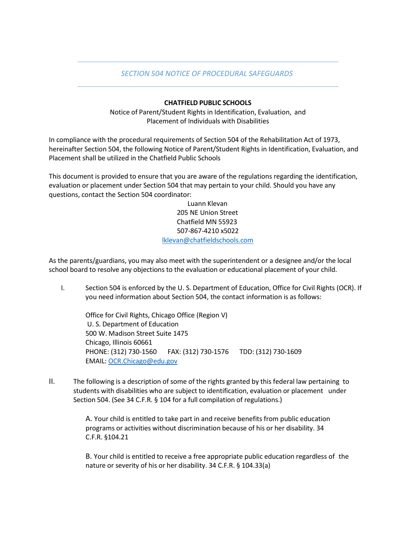## *SECTION 504 NOTICE OF PROCEDURAL SAFEGUARDS*

## **CHATFIELD PUBLIC SCHOOLS**

Notice of Parent/Student Rights in Identification, Evaluation, and Placement of Individuals with Disabilities

In compliance with the procedural requirements of Section 504 of the Rehabilitation Act of 1973, hereinafter Section 504, the following Notice of Parent/Student Rights in Identification, Evaluation, and Placement shall be utilized in the Chatfield Public Schools

This document is provided to ensure that you are aware of the regulations regarding the identification, evaluation or placement under Section 504 that may pertain to your child. Should you have any questions, contact the Section 504 coordinator:

> Luann Klevan 205 NE Union Street Chatfield MN 55923 507-867-4210 x5022 [lklevan@chatfieldschools.com](mailto:lklevan@chatfieldschools.com)

As the parents/guardians, you may also meet with the superintendent or a designee and/or the local school board to resolve any objections to the evaluation or educational placement of your child.

I. Section 504 is enforced by the U. S. Department of Education, Office for Civil Rights (OCR). If you need information about Section 504, the contact information is as follows:

Office for Civil Rights, Chicago Office (Region V) U. S. Department of Education 500 W. Madison Street Suite 1475 Chicago, Illinois 60661 PHONE: (312) 730-1560 FAX: (312) 730-1576 TDD: (312) 730-1609 EMAIL: [OCR.Chicago@edu.gov](mailto:OCR.Chicago@edu.gov)

II. The following is a description of some of the rights granted by this federal law pertaining to students with disabilities who are subject to identification, evaluation or placement under Section 504. (See 34 C.F.R. § 104 for a full compilation of regulations.)

> A. Your child is entitled to take part in and receive benefits from public education programs or activities without discrimination because of his or her disability. 34 C.F.R. §104.21

B. Your child is entitled to receive a free appropriate public education regardless of the nature or severity of his or her disability. 34 C.F.R. § 104.33(a)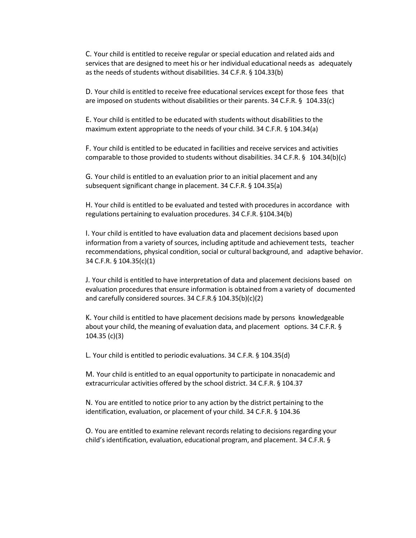C. Your child is entitled to receive regular orspecial education and related aids and services that are designed to meet his or her individual educational needs as adequately as the needs of students without disabilities. 34 C.F.R. § 104.33(b)

D. Your child is entitled to receive free educational services except for those fees that are imposed on students without disabilities or their parents. 34 C.F.R. § 104.33(c)

E. Your child is entitled to be educated with students without disabilitiesto the maximum extent appropriate to the needs of your child. 34 C.F.R. § 104.34(a)

F. Your child is entitled to be educated in facilities and receive services and activities comparable to those provided to students without disabilities. 34 C.F.R. § 104.34(b)(c)

G. Your child is entitled to an evaluation prior to an initial placement and any subsequent significant change in placement. 34 C.F.R. § 104.35(a)

H. Your child is entitled to be evaluated and tested with procedures in accordance with regulations pertaining to evaluation procedures. 34 C.F.R. §104.34(b)

I. Your child is entitled to have evaluation data and placement decisions based upon information from a variety of sources, including aptitude and achievement tests, teacher recommendations, physical condition, social or cultural background, and adaptive behavior. 34 C.F.R. § 104.35(c)(1)

J. Your child is entitled to have interpretation of data and placement decisions based on evaluation procedures that ensure information is obtained from a variety of documented and carefully considered sources. 34 C.F.R.§ 104.35(b)(c)(2)

K. Your child is entitled to have placement decisions made by persons knowledgeable about your child, the meaning of evaluation data, and placement options. 34 C.F.R. § 104.35 (c)(3)

L. Your child is entitled to periodic evaluations. 34 C.F.R. § 104.35(d)

M. Your child is entitled to an equal opportunity to participate in nonacademic and extracurricular activities offered by the school district. 34 C.F.R. § 104.37

N. You are entitled to notice prior to any action by the district pertaining to the identification, evaluation, or placement of your child. 34 C.F.R. § 104.36

O. You are entitled to examine relevant records relating to decisions regarding your child's identification, evaluation, educational program, and placement. 34 C.F.R. §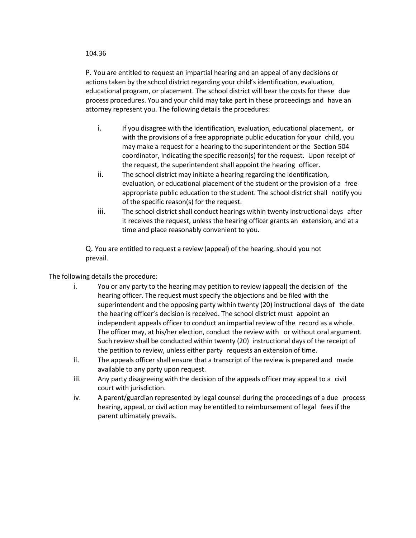## 104.36

P. You are entitled to request an impartial hearing and an appeal of any decisions or actionstaken by the school district regarding your child's identification, evaluation, educational program, or placement. The school district will bear the costs for these due process procedures. You and your child may take part in these proceedings and have an attorney represent you. The following details the procedures:

- i. If you disagree with the identification, evaluation, educational placement, or with the provisions of a free appropriate public education for your child, you may make a request for a hearing to the superintendent or the Section 504 coordinator, indicating the specific reason(s) for the request. Upon receipt of the request, the superintendent shall appoint the hearing officer.
- ii. The school district may initiate a hearing regarding the identification, evaluation, or educational placement of the student or the provision of a free appropriate public education to the student. The school district shall notify you of the specific reason(s) for the request.
- iii. The school district shall conduct hearings within twenty instructional days after it receives the request, unless the hearing officer grants an extension, and at a time and place reasonably convenient to you.

Q. You are entitled to request a review (appeal) of the hearing, should you not prevail.

The following details the procedure:

- i. You or any party to the hearing may petition to review (appeal) the decision of the hearing officer. The request must specify the objections and be filed with the superintendent and the opposing party within twenty (20) instructional days of the date the hearing officer's decision is received. The school district must appoint an independent appeals officer to conduct an impartial review of the record as a whole. The officer may, at his/her election, conduct the review with or without oral argument. Such review shall be conducted within twenty (20) instructional days of the receipt of the petition to review, unless either party requests an extension of time.
- ii. The appeals officer shall ensure that a transcript of the review is prepared and made available to any party upon request.
- iii. Any party disagreeing with the decision of the appeals officer may appeal to a civil court with jurisdiction.
- iv. A parent/guardian represented by legal counsel during the proceedings of a due process hearing, appeal, or civil action may be entitled to reimbursement of legal fees if the parent ultimately prevails.